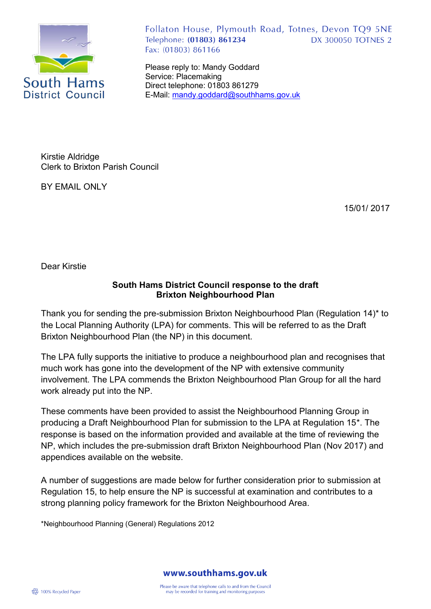

Follaton House, Plymouth Road, Totnes, Devon TQ9 5NE Telephone: (01803) 861234 **DX 300050 TOTNES 2** Fax: (01803) 861166

Please reply to: Mandy Goddard Service: Placemaking Direct telephone: 01803 861279 E-Mail: [mandy.goddard@southhams.gov.uk](mailto:mandy.goddard@southhams.gov.uk)

Kirstie Aldridge Clerk to Brixton Parish Council

BY EMAIL ONLY

15/01/ 2017

Dear Kirstie

### **South Hams District Council response to the draft Brixton Neighbourhood Plan**

Thank you for sending the pre-submission Brixton Neighbourhood Plan (Regulation 14)\* to the Local Planning Authority (LPA) for comments. This will be referred to as the Draft Brixton Neighbourhood Plan (the NP) in this document.

The LPA fully supports the initiative to produce a neighbourhood plan and recognises that much work has gone into the development of the NP with extensive community involvement. The LPA commends the Brixton Neighbourhood Plan Group for all the hard work already put into the NP.

These comments have been provided to assist the Neighbourhood Planning Group in producing a Draft Neighbourhood Plan for submission to the LPA at Regulation 15\*. The response is based on the information provided and available at the time of reviewing the NP, which includes the pre-submission draft Brixton Neighbourhood Plan (Nov 2017) and appendices available on the website.

A number of suggestions are made below for further consideration prior to submission at Regulation 15, to help ensure the NP is successful at examination and contributes to a strong planning policy framework for the Brixton Neighbourhood Area.

\*Neighbourhood Planning (General) Regulations 2012

www.southhams.gov.uk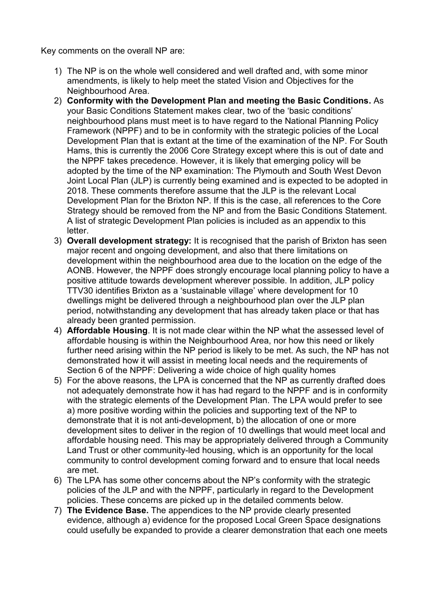Key comments on the overall NP are:

- 1) The NP is on the whole well considered and well drafted and, with some minor amendments, is likely to help meet the stated Vision and Objectives for the Neighbourhood Area.
- 2) **Conformity with the Development Plan and meeting the Basic Conditions.** As your Basic Conditions Statement makes clear, two of the 'basic conditions' neighbourhood plans must meet is to have regard to the National Planning Policy Framework (NPPF) and to be in conformity with the strategic policies of the Local Development Plan that is extant at the time of the examination of the NP. For South Hams, this is currently the 2006 Core Strategy except where this is out of date and the NPPF takes precedence. However, it is likely that emerging policy will be adopted by the time of the NP examination: The Plymouth and South West Devon Joint Local Plan (JLP) is currently being examined and is expected to be adopted in 2018. These comments therefore assume that the JLP is the relevant Local Development Plan for the Brixton NP. If this is the case, all references to the Core Strategy should be removed from the NP and from the Basic Conditions Statement. A list of strategic Development Plan policies is included as an appendix to this letter.
- 3) **Overall development strategy:** It is recognised that the parish of Brixton has seen major recent and ongoing development, and also that there limitations on development within the neighbourhood area due to the location on the edge of the AONB. However, the NPPF does strongly encourage local planning policy to have a positive attitude towards development wherever possible. In addition, JLP policy TTV30 identifies Brixton as a 'sustainable village' where development for 10 dwellings might be delivered through a neighbourhood plan over the JLP plan period, notwithstanding any development that has already taken place or that has already been granted permission.
- 4) **Affordable Housing**. It is not made clear within the NP what the assessed level of affordable housing is within the Neighbourhood Area, nor how this need or likely further need arising within the NP period is likely to be met. As such, the NP has not demonstrated how it will assist in meeting local needs and the requirements of Section 6 of the NPPF: Delivering a wide choice of high quality homes
- 5) For the above reasons, the LPA is concerned that the NP as currently drafted does not adequately demonstrate how it has had regard to the NPPF and is in conformity with the strategic elements of the Development Plan. The LPA would prefer to see a) more positive wording within the policies and supporting text of the NP to demonstrate that it is not anti-development, b) the allocation of one or more development sites to deliver in the region of 10 dwellings that would meet local and affordable housing need. This may be appropriately delivered through a Community Land Trust or other community-led housing, which is an opportunity for the local community to control development coming forward and to ensure that local needs are met.
- 6) The LPA has some other concerns about the NP's conformity with the strategic policies of the JLP and with the NPPF, particularly in regard to the Development policies. These concerns are picked up in the detailed comments below.
- 7) **The Evidence Base.** The appendices to the NP provide clearly presented evidence, although a) evidence for the proposed Local Green Space designations could usefully be expanded to provide a clearer demonstration that each one meets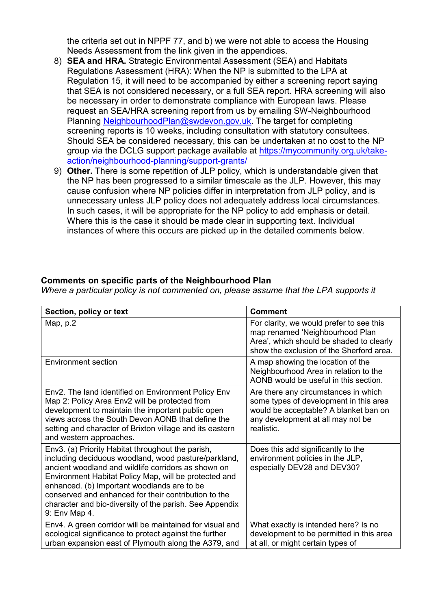the criteria set out in NPPF 77, and b) we were not able to access the Housing Needs Assessment from the link given in the appendices.

- 8) **SEA and HRA.** Strategic Environmental Assessment (SEA) and Habitats Regulations Assessment (HRA): When the NP is submitted to the LPA at Regulation 15, it will need to be accompanied by either a screening report saying that SEA is not considered necessary, or a full SEA report. HRA screening will also be necessary in order to demonstrate compliance with European laws. Please request an SEA/HRA screening report from us by emailing SW-Neighbourhood Planning [NeighbourhoodPlan@swdevon.gov.uk.](mailto:NeighbourhoodPlan@swdevon.gov.uk) The target for completing screening reports is 10 weeks, including consultation with statutory consultees. Should SEA be considered necessary, this can be undertaken at no cost to the NP group via the DCLG support package available at [https://mycommunity.org.uk/take](https://mycommunity.org.uk/take-action/neighbourhood-planning/support-grants/)[action/neighbourhood-planning/support-grants/](https://mycommunity.org.uk/take-action/neighbourhood-planning/support-grants/)
- 9) **Other.** There is some repetition of JLP policy, which is understandable given that the NP has been progressed to a similar timescale as the JLP. However, this may cause confusion where NP policies differ in interpretation from JLP policy, and is unnecessary unless JLP policy does not adequately address local circumstances. In such cases, it will be appropriate for the NP policy to add emphasis or detail. Where this is the case it should be made clear in supporting text. Individual instances of where this occurs are picked up in the detailed comments below.

### **Comments on specific parts of the Neighbourhood Plan**

*Where a particular policy is not commented on, please assume that the LPA supports it*

| Section, policy or text                                                                                                                                                                                                                                                                                                                                                                                      | <b>Comment</b>                                                                                                                                                             |
|--------------------------------------------------------------------------------------------------------------------------------------------------------------------------------------------------------------------------------------------------------------------------------------------------------------------------------------------------------------------------------------------------------------|----------------------------------------------------------------------------------------------------------------------------------------------------------------------------|
| Map, $p.2$                                                                                                                                                                                                                                                                                                                                                                                                   | For clarity, we would prefer to see this<br>map renamed 'Neighbourhood Plan<br>Area', which should be shaded to clearly<br>show the exclusion of the Sherford area.        |
| <b>Environment section</b>                                                                                                                                                                                                                                                                                                                                                                                   | A map showing the location of the<br>Neighbourhood Area in relation to the<br>AONB would be useful in this section.                                                        |
| Env2. The land identified on Environment Policy Env<br>Map 2: Policy Area Env2 will be protected from<br>development to maintain the important public open<br>views across the South Devon AONB that define the<br>setting and character of Brixton village and its eastern<br>and western approaches.                                                                                                       | Are there any circumstances in which<br>some types of development in this area<br>would be acceptable? A blanket ban on<br>any development at all may not be<br>realistic. |
| Env3. (a) Priority Habitat throughout the parish,<br>including deciduous woodland, wood pasture/parkland,<br>ancient woodland and wildlife corridors as shown on<br>Environment Habitat Policy Map, will be protected and<br>enhanced. (b) Important woodlands are to be<br>conserved and enhanced for their contribution to the<br>character and bio-diversity of the parish. See Appendix<br>9: Env Map 4. | Does this add significantly to the<br>environment policies in the JLP,<br>especially DEV28 and DEV30?                                                                      |
| Env4. A green corridor will be maintained for visual and<br>ecological significance to protect against the further<br>urban expansion east of Plymouth along the A379, and                                                                                                                                                                                                                                   | What exactly is intended here? Is no<br>development to be permitted in this area<br>at all, or might certain types of                                                      |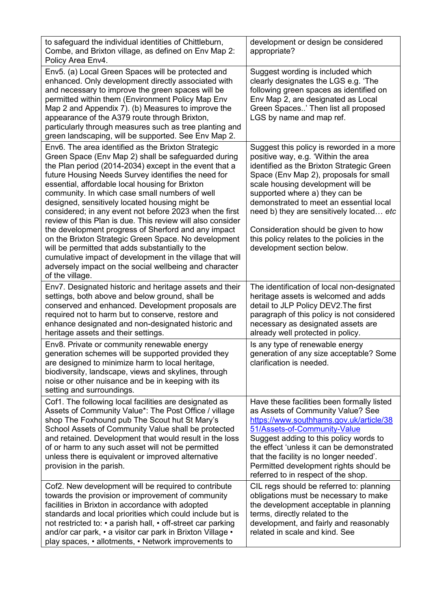| to safeguard the individual identities of Chittleburn,<br>Combe, and Brixton village, as defined on Env Map 2:<br>Policy Area Env4.                                                                                                                                                                                                                                                                                                                                                                                                                                                                                                                                                                                                                                                                                     | development or design be considered<br>appropriate?                                                                                                                                                                                                                                                                                                                                                                                                       |
|-------------------------------------------------------------------------------------------------------------------------------------------------------------------------------------------------------------------------------------------------------------------------------------------------------------------------------------------------------------------------------------------------------------------------------------------------------------------------------------------------------------------------------------------------------------------------------------------------------------------------------------------------------------------------------------------------------------------------------------------------------------------------------------------------------------------------|-----------------------------------------------------------------------------------------------------------------------------------------------------------------------------------------------------------------------------------------------------------------------------------------------------------------------------------------------------------------------------------------------------------------------------------------------------------|
| Env5. (a) Local Green Spaces will be protected and<br>enhanced. Only development directly associated with<br>and necessary to improve the green spaces will be<br>permitted within them (Environment Policy Map Env<br>Map 2 and Appendix 7). (b) Measures to improve the<br>appearance of the A379 route through Brixton,<br>particularly through measures such as tree planting and<br>green landscaping, will be supported. See Env Map 2.                                                                                                                                                                                                                                                                                                                                                                           | Suggest wording is included which<br>clearly designates the LGS e.g. 'The<br>following green spaces as identified on<br>Env Map 2, are designated as Local<br>Green Spaces' Then list all proposed<br>LGS by name and map ref.                                                                                                                                                                                                                            |
| Env6. The area identified as the Brixton Strategic<br>Green Space (Env Map 2) shall be safeguarded during<br>the Plan period (2014-2034) except in the event that a<br>future Housing Needs Survey identifies the need for<br>essential, affordable local housing for Brixton<br>community. In which case small numbers of well<br>designed, sensitively located housing might be<br>considered; in any event not before 2023 when the first<br>review of this Plan is due. This review will also consider<br>the development progress of Sherford and any impact<br>on the Brixton Strategic Green Space. No development<br>will be permitted that adds substantially to the<br>cumulative impact of development in the village that will<br>adversely impact on the social wellbeing and character<br>of the village. | Suggest this policy is reworded in a more<br>positive way, e.g. 'Within the area<br>identified as the Brixton Strategic Green<br>Space (Env Map 2), proposals for small<br>scale housing development will be<br>supported where a) they can be<br>demonstrated to meet an essential local<br>need b) they are sensitively located etc<br>Consideration should be given to how<br>this policy relates to the policies in the<br>development section below. |
| Env7. Designated historic and heritage assets and their<br>settings, both above and below ground, shall be<br>conserved and enhanced. Development proposals are<br>required not to harm but to conserve, restore and<br>enhance designated and non-designated historic and<br>heritage assets and their settings.                                                                                                                                                                                                                                                                                                                                                                                                                                                                                                       | The identification of local non-designated<br>heritage assets is welcomed and adds<br>detail to JLP Policy DEV2. The first<br>paragraph of this policy is not considered<br>necessary as designated assets are<br>already well protected in policy.                                                                                                                                                                                                       |
| Env8. Private or community renewable energy<br>generation schemes will be supported provided they<br>are designed to minimize harm to local heritage,<br>biodiversity, landscape, views and skylines, through<br>noise or other nuisance and be in keeping with its<br>setting and surroundings.                                                                                                                                                                                                                                                                                                                                                                                                                                                                                                                        | Is any type of renewable energy<br>generation of any size acceptable? Some<br>clarification is needed.                                                                                                                                                                                                                                                                                                                                                    |
| Cof1. The following local facilities are designated as<br>Assets of Community Value*: The Post Office / village<br>shop The Foxhound pub The Scout hut St Mary's<br>School Assets of Community Value shall be protected<br>and retained. Development that would result in the loss<br>of or harm to any such asset will not be permitted<br>unless there is equivalent or improved alternative<br>provision in the parish.                                                                                                                                                                                                                                                                                                                                                                                              | Have these facilities been formally listed<br>as Assets of Community Value? See<br>https://www.southhams.gov.uk/article/38<br>51/Assets-of-Community-Value<br>Suggest adding to this policy words to<br>the effect 'unless it can be demonstrated<br>that the facility is no longer needed'.<br>Permitted development rights should be<br>referred to in respect of the shop.                                                                             |
| Cof2. New development will be required to contribute<br>towards the provision or improvement of community<br>facilities in Brixton in accordance with adopted<br>standards and local priorities which could include but is<br>not restricted to: • a parish hall, • off-street car parking<br>and/or car park, • a visitor car park in Brixton Village •<br>play spaces, • allotments, • Network improvements to                                                                                                                                                                                                                                                                                                                                                                                                        | CIL regs should be referred to: planning<br>obligations must be necessary to make<br>the development acceptable in planning<br>terms, directly related to the<br>development, and fairly and reasonably<br>related in scale and kind. See                                                                                                                                                                                                                 |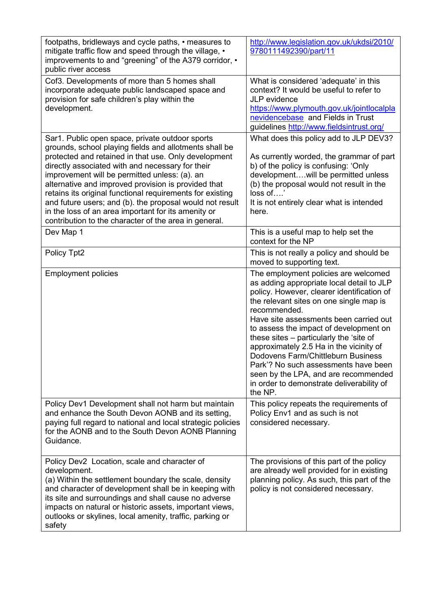| footpaths, bridleways and cycle paths, • measures to<br>mitigate traffic flow and speed through the village, •<br>improvements to and "greening" of the A379 corridor, •<br>public river access                                                                                                                                                                                                                                                                                                                                                                        | http://www.legislation.gov.uk/ukdsi/2010/<br>9780111492390/part/11                                                                                                                                                                                                                                                                                                                                                                                                                                                                                 |
|------------------------------------------------------------------------------------------------------------------------------------------------------------------------------------------------------------------------------------------------------------------------------------------------------------------------------------------------------------------------------------------------------------------------------------------------------------------------------------------------------------------------------------------------------------------------|----------------------------------------------------------------------------------------------------------------------------------------------------------------------------------------------------------------------------------------------------------------------------------------------------------------------------------------------------------------------------------------------------------------------------------------------------------------------------------------------------------------------------------------------------|
| Cof3. Developments of more than 5 homes shall<br>incorporate adequate public landscaped space and<br>provision for safe children's play within the<br>development.                                                                                                                                                                                                                                                                                                                                                                                                     | What is considered 'adequate' in this<br>context? It would be useful to refer to<br>JLP evidence<br>https://www.plymouth.gov.uk/jointlocalpla<br>nevidencebase and Fields in Trust<br>guidelines http://www.fieldsintrust.org/                                                                                                                                                                                                                                                                                                                     |
| Sar1. Public open space, private outdoor sports<br>grounds, school playing fields and allotments shall be<br>protected and retained in that use. Only development<br>directly associated with and necessary for their<br>improvement will be permitted unless: (a). an<br>alternative and improved provision is provided that<br>retains its original functional requirements for existing<br>and future users; and (b). the proposal would not result<br>in the loss of an area important for its amenity or<br>contribution to the character of the area in general. | What does this policy add to JLP DEV3?<br>As currently worded, the grammar of part<br>b) of the policy is confusing: 'Only<br>developmentwill be permitted unless<br>(b) the proposal would not result in the<br>loss of'<br>It is not entirely clear what is intended<br>here.                                                                                                                                                                                                                                                                    |
| Dev Map 1                                                                                                                                                                                                                                                                                                                                                                                                                                                                                                                                                              | This is a useful map to help set the<br>context for the NP                                                                                                                                                                                                                                                                                                                                                                                                                                                                                         |
| Policy Tpt2                                                                                                                                                                                                                                                                                                                                                                                                                                                                                                                                                            | This is not really a policy and should be<br>moved to supporting text.                                                                                                                                                                                                                                                                                                                                                                                                                                                                             |
| <b>Employment policies</b>                                                                                                                                                                                                                                                                                                                                                                                                                                                                                                                                             | The employment policies are welcomed<br>as adding appropriate local detail to JLP<br>policy. However, clearer identification of<br>the relevant sites on one single map is<br>recommended.<br>Have site assessments been carried out<br>to assess the impact of development on<br>these sites – particularly the 'site of<br>approximately 2.5 Ha in the vicinity of<br>Dodovens Farm/Chittleburn Business<br>Park'? No such assessments have been<br>seen by the LPA, and are recommended<br>in order to demonstrate deliverability of<br>the NP. |
| Policy Dev1 Development shall not harm but maintain<br>and enhance the South Devon AONB and its setting,<br>paying full regard to national and local strategic policies<br>for the AONB and to the South Devon AONB Planning<br>Guidance.                                                                                                                                                                                                                                                                                                                              | This policy repeats the requirements of<br>Policy Env1 and as such is not<br>considered necessary.                                                                                                                                                                                                                                                                                                                                                                                                                                                 |
| Policy Dev2 Location, scale and character of<br>development.<br>(a) Within the settlement boundary the scale, density<br>and character of development shall be in keeping with<br>its site and surroundings and shall cause no adverse<br>impacts on natural or historic assets, important views,<br>outlooks or skylines, local amenity, traffic, parking or<br>safety                                                                                                                                                                                                | The provisions of this part of the policy<br>are already well provided for in existing<br>planning policy. As such, this part of the<br>policy is not considered necessary.                                                                                                                                                                                                                                                                                                                                                                        |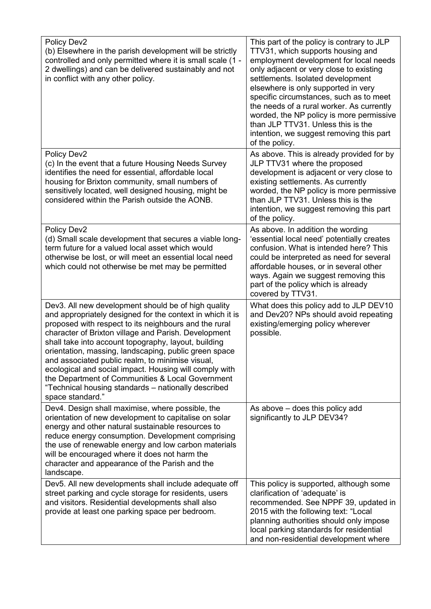| Policy Dev2<br>(b) Elsewhere in the parish development will be strictly<br>controlled and only permitted where it is small scale (1 -<br>2 dwellings) and can be delivered sustainably and not<br>in conflict with any other policy.                                                                                                                                                                                                                                                                                                                                                            | This part of the policy is contrary to JLP<br>TTV31, which supports housing and<br>employment development for local needs<br>only adjacent or very close to existing<br>settlements. Isolated development<br>elsewhere is only supported in very<br>specific circumstances, such as to meet<br>the needs of a rural worker. As currently<br>worded, the NP policy is more permissive<br>than JLP TTV31. Unless this is the<br>intention, we suggest removing this part<br>of the policy. |
|-------------------------------------------------------------------------------------------------------------------------------------------------------------------------------------------------------------------------------------------------------------------------------------------------------------------------------------------------------------------------------------------------------------------------------------------------------------------------------------------------------------------------------------------------------------------------------------------------|------------------------------------------------------------------------------------------------------------------------------------------------------------------------------------------------------------------------------------------------------------------------------------------------------------------------------------------------------------------------------------------------------------------------------------------------------------------------------------------|
| Policy Dev2<br>(c) In the event that a future Housing Needs Survey<br>identifies the need for essential, affordable local<br>housing for Brixton community, small numbers of<br>sensitively located, well designed housing, might be<br>considered within the Parish outside the AONB.                                                                                                                                                                                                                                                                                                          | As above. This is already provided for by<br>JLP TTV31 where the proposed<br>development is adjacent or very close to<br>existing settlements. As currently<br>worded, the NP policy is more permissive<br>than JLP TTV31. Unless this is the<br>intention, we suggest removing this part<br>of the policy.                                                                                                                                                                              |
| Policy Dev2<br>(d) Small scale development that secures a viable long-<br>term future for a valued local asset which would<br>otherwise be lost, or will meet an essential local need<br>which could not otherwise be met may be permitted                                                                                                                                                                                                                                                                                                                                                      | As above. In addition the wording<br>'essential local need' potentially creates<br>confusion. What is intended here? This<br>could be interpreted as need for several<br>affordable houses, or in several other<br>ways. Again we suggest removing this<br>part of the policy which is already<br>covered by TTV31.                                                                                                                                                                      |
| Dev3. All new development should be of high quality<br>and appropriately designed for the context in which it is<br>proposed with respect to its neighbours and the rural<br>character of Brixton village and Parish. Development<br>shall take into account topography, layout, building<br>orientation, massing, landscaping, public green space<br>and associated public realm, to minimise visual,<br>ecological and social impact. Housing will comply with<br>the Department of Communities & Local Government<br>"Technical housing standards - nationally described<br>space standard." | What does this policy add to JLP DEV10<br>and Dev20? NPs should avoid repeating<br>existing/emerging policy wherever<br>possible.                                                                                                                                                                                                                                                                                                                                                        |
| Dev4. Design shall maximise, where possible, the<br>orientation of new development to capitalise on solar<br>energy and other natural sustainable resources to<br>reduce energy consumption. Development comprising<br>the use of renewable energy and low carbon materials<br>will be encouraged where it does not harm the<br>character and appearance of the Parish and the<br>landscape.                                                                                                                                                                                                    | As above $-$ does this policy add<br>significantly to JLP DEV34?                                                                                                                                                                                                                                                                                                                                                                                                                         |
| Dev5. All new developments shall include adequate off<br>street parking and cycle storage for residents, users<br>and visitors. Residential developments shall also<br>provide at least one parking space per bedroom.                                                                                                                                                                                                                                                                                                                                                                          | This policy is supported, although some<br>clarification of 'adequate' is<br>recommended. See NPPF 39, updated in<br>2015 with the following text: "Local<br>planning authorities should only impose<br>local parking standards for residential<br>and non-residential development where                                                                                                                                                                                                 |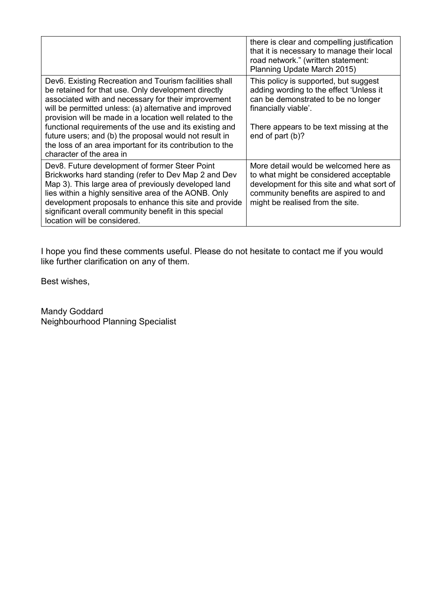|                                                                                                                                                                                                                                                                                                                                                                            | there is clear and compelling justification<br>that it is necessary to manage their local<br>road network." (written statement:<br>Planning Update March 2015)                                             |
|----------------------------------------------------------------------------------------------------------------------------------------------------------------------------------------------------------------------------------------------------------------------------------------------------------------------------------------------------------------------------|------------------------------------------------------------------------------------------------------------------------------------------------------------------------------------------------------------|
| Dev6. Existing Recreation and Tourism facilities shall<br>be retained for that use. Only development directly<br>associated with and necessary for their improvement<br>will be permitted unless: (a) alternative and improved<br>provision will be made in a location well related to the                                                                                 | This policy is supported, but suggest<br>adding wording to the effect 'Unless it<br>can be demonstrated to be no longer<br>financially viable'.                                                            |
| functional requirements of the use and its existing and<br>future users; and (b) the proposal would not result in<br>the loss of an area important for its contribution to the<br>character of the area in                                                                                                                                                                 | There appears to be text missing at the<br>end of part (b)?                                                                                                                                                |
| Dev8. Future development of former Steer Point<br>Brickworks hard standing (refer to Dev Map 2 and Dev<br>Map 3). This large area of previously developed land<br>lies within a highly sensitive area of the AONB. Only<br>development proposals to enhance this site and provide<br>significant overall community benefit in this special<br>location will be considered. | More detail would be welcomed here as<br>to what might be considered acceptable<br>development for this site and what sort of<br>community benefits are aspired to and<br>might be realised from the site. |

I hope you find these comments useful. Please do not hesitate to contact me if you would like further clarification on any of them.

Best wishes,

Mandy Goddard Neighbourhood Planning Specialist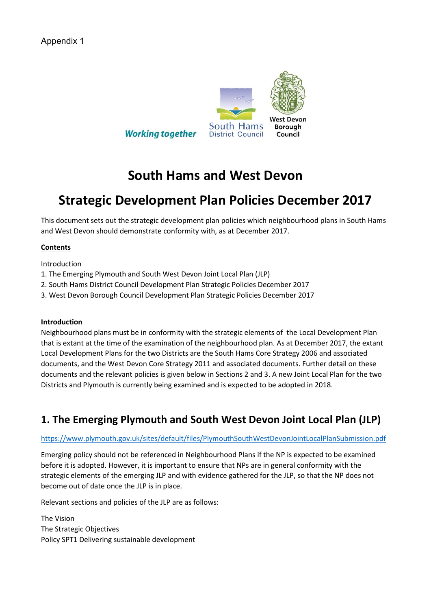

# **South Hams and West Devon**

# **Strategic Development Plan Policies December 2017**

This document sets out the strategic development plan policies which neighbourhood plans in South Hams and West Devon should demonstrate conformity with, as at December 2017.

#### **Contents**

Introduction

- 1. The Emerging Plymouth and South West Devon Joint Local Plan (JLP)
- 2. South Hams District Council Development Plan Strategic Policies December 2017
- 3. West Devon Borough Council Development Plan Strategic Policies December 2017

#### **Introduction**

Neighbourhood plans must be in conformity with the strategic elements of the Local Development Plan that is extant at the time of the examination of the neighbourhood plan. As at December 2017, the extant Local Development Plans for the two Districts are the South Hams Core Strategy 2006 and associated documents, and the West Devon Core Strategy 2011 and associated documents. Further detail on these documents and the relevant policies is given below in Sections 2 and 3. A new Joint Local Plan for the two Districts and Plymouth is currently being examined and is expected to be adopted in 2018.

# **1. The Emerging Plymouth and South West Devon Joint Local Plan (JLP)**

#### <https://www.plymouth.gov.uk/sites/default/files/PlymouthSouthWestDevonJointLocalPlanSubmission.pdf>

Emerging policy should not be referenced in Neighbourhood Plans if the NP is expected to be examined before it is adopted. However, it is important to ensure that NPs are in general conformity with the strategic elements of the emerging JLP and with evidence gathered for the JLP, so that the NP does not become out of date once the JLP is in place.

Relevant sections and policies of the JLP are as follows:

The Vision The Strategic Objectives Policy SPT1 Delivering sustainable development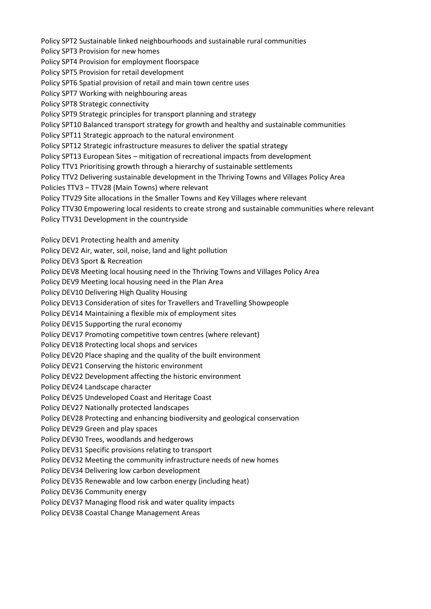Policy SPT2 Sustainable linked neighbourhoods and sustainable rural communities Policy SPT3 Provision for new homes Policy SPT4 Provision for employment floorspace Policy SPT5 Provision for retail development Policy SPT6 Spatial provision of retail and main town centre uses Policy SPT7 Working with neighbouring areas Policy SPT8 Strategic connectivity Policy SPT9 Strategic principles for transport planning and strategy Policy SPT10 Balanced transport strategy for growth and healthy and sustainable communities Policy SPT11 Strategic approach to the natural environment Policy SPT12 Strategic infrastructure measures to deliver the spatial strategy Policy SPT13 European Sites – mitigation of recreational impacts from development Policy TTV1 Prioritising growth through a hierarchy of sustainable settlements Policy TTV2 Delivering sustainable development in the Thriving Towns and Villages Policy Area Policies TTV3 – TTV28 (Main Towns) where relevant Policy TTV29 Site allocations in the Smaller Towns and Key Villages where relevant Policy TTV30 Empowering local residents to create strong and sustainable communities where relevant Policy TTV31 Development in the countryside Policy DEV1 Protecting health and amenity Policy DEV2 Air, water, soil, noise, land and light pollution Policy DEV3 Sport & Recreation Policy DEV8 Meeting local housing need in the Thriving Towns and Villages Policy Area Policy DEV9 Meeting local housing need in the Plan Area Policy DEV10 Delivering High Quality Housing Policy DEV13 Consideration of sites for Travellers and Travelling Showpeople Policy DEV14 Maintaining a flexible mix of employment sites Policy DEV15 Supporting the rural economy Policy DEV17 Promoting competitive town centres (where relevant) Policy DEV18 Protecting local shops and services Policy DEV20 Place shaping and the quality of the built environment Policy DEV21 Conserving the historic environment Policy DEV22 Development affecting the historic environment Policy DEV24 Landscape character Policy DEV25 Undeveloped Coast and Heritage Coast Policy DEV27 Nationally protected landscapes Policy DEV28 Protecting and enhancing biodiversity and geological conservation Policy DEV29 Green and play spaces Policy DEV30 Trees, woodlands and hedgerows Policy DEV31 Specific provisions relating to transport Policy DEV32 Meeting the community infrastructure needs of new homes Policy DEV34 Delivering low carbon development Policy DEV35 Renewable and low carbon energy (including heat) Policy DEV36 Community energy Policy DEV37 Managing flood risk and water quality impacts Policy DEV38 Coastal Change Management Areas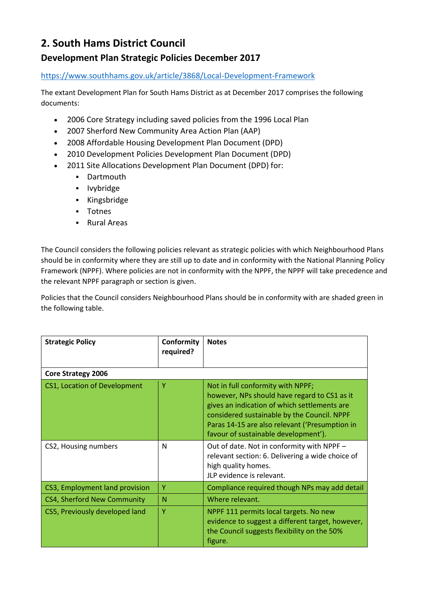# **2. South Hams District Council**

## **Development Plan Strategic Policies December 2017**

#### <https://www.southhams.gov.uk/article/3868/Local-Development-Framework>

The extant Development Plan for South Hams District as at December 2017 comprises the following documents:

- 2006 Core Strategy including saved policies from the 1996 Local Plan
- 2007 Sherford New Community Area Action Plan (AAP)
- 2008 Affordable Housing Development Plan Document (DPD)
- x 2010 Development Policies Development Plan Document (DPD)
- 2011 Site Allocations Development Plan Document (DPD) for:
	- **•** Dartmouth
	- **Ivybridge**
	- Kingsbridge
	- **-** Totnes
	- **Rural Areas**

The Council considers the following policies relevant as strategic policies with which Neighbourhood Plans should be in conformity where they are still up to date and in conformity with the National Planning Policy Framework (NPPF). Where policies are not in conformity with the NPPF, the NPPF will take precedence and the relevant NPPF paragraph or section is given.

Policies that the Council considers Neighbourhood Plans should be in conformity with are shaded green in the following table.

| <b>Strategic Policy</b>        | Conformity<br>required? | <b>Notes</b>                                                                                                                                                                                                                                                               |
|--------------------------------|-------------------------|----------------------------------------------------------------------------------------------------------------------------------------------------------------------------------------------------------------------------------------------------------------------------|
| <b>Core Strategy 2006</b>      |                         |                                                                                                                                                                                                                                                                            |
| CS1, Location of Development   | Υ                       | Not in full conformity with NPPF;<br>however, NPs should have regard to CS1 as it<br>gives an indication of which settlements are<br>considered sustainable by the Council. NPPF<br>Paras 14-15 are also relevant ('Presumption in<br>favour of sustainable development'). |
| CS2, Housing numbers           | N                       | Out of date. Not in conformity with NPPF -<br>relevant section: 6. Delivering a wide choice of<br>high quality homes.<br>JLP evidence is relevant.                                                                                                                         |
| CS3, Employment land provision | Y                       | Compliance required though NPs may add detail                                                                                                                                                                                                                              |
| CS4, Sherford New Community    | N                       | Where relevant.                                                                                                                                                                                                                                                            |
| CS5, Previously developed land | Y                       | NPPF 111 permits local targets. No new<br>evidence to suggest a different target, however,<br>the Council suggests flexibility on the 50%<br>figure.                                                                                                                       |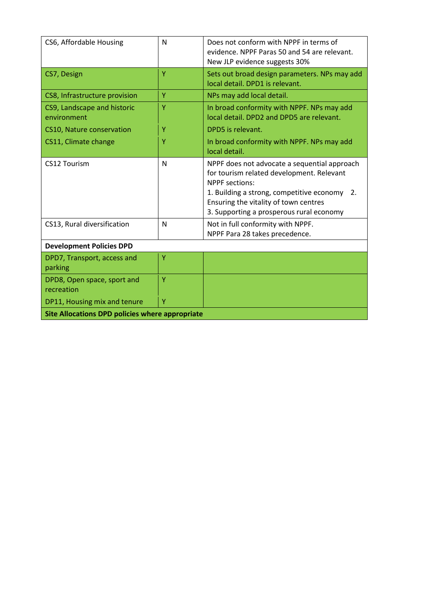| CS6, Affordable Housing                                | N | Does not conform with NPPF in terms of<br>evidence. NPPF Paras 50 and 54 are relevant.<br>New JLP evidence suggests 30%                                                                                                                                 |
|--------------------------------------------------------|---|---------------------------------------------------------------------------------------------------------------------------------------------------------------------------------------------------------------------------------------------------------|
| CS7, Design                                            | Y | Sets out broad design parameters. NPs may add<br>local detail. DPD1 is relevant.                                                                                                                                                                        |
| CS8, Infrastructure provision                          | Y | NPs may add local detail.                                                                                                                                                                                                                               |
| CS9, Landscape and historic<br>environment             | Y | In broad conformity with NPPF. NPs may add<br>local detail. DPD2 and DPD5 are relevant.                                                                                                                                                                 |
| CS10, Nature conservation                              | Ÿ | DPD5 is relevant.                                                                                                                                                                                                                                       |
| CS11, Climate change                                   | Ÿ | In broad conformity with NPPF. NPs may add<br>local detail.                                                                                                                                                                                             |
| CS12 Tourism                                           | N | NPPF does not advocate a sequential approach<br>for tourism related development. Relevant<br><b>NPPF</b> sections:<br>1. Building a strong, competitive economy 2.<br>Ensuring the vitality of town centres<br>3. Supporting a prosperous rural economy |
| CS13, Rural diversification                            | N | Not in full conformity with NPPF.<br>NPPF Para 28 takes precedence.                                                                                                                                                                                     |
| <b>Development Policies DPD</b>                        |   |                                                                                                                                                                                                                                                         |
| DPD7, Transport, access and<br>parking                 | Y |                                                                                                                                                                                                                                                         |
| DPD8, Open space, sport and<br>recreation              | Ÿ |                                                                                                                                                                                                                                                         |
| DP11, Housing mix and tenure                           | Y |                                                                                                                                                                                                                                                         |
| <b>Site Allocations DPD policies where appropriate</b> |   |                                                                                                                                                                                                                                                         |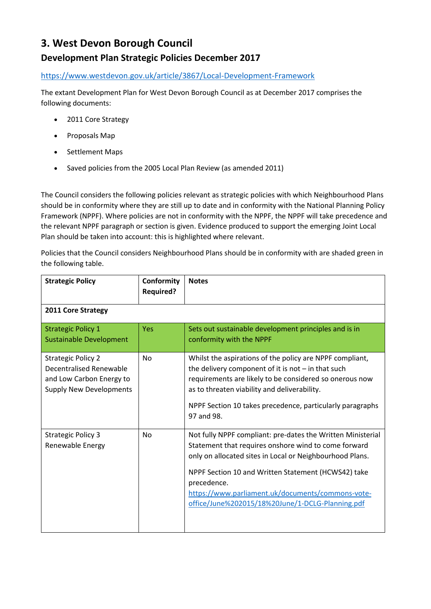## **3. West Devon Borough Council**

## **Development Plan Strategic Policies December 2017**

<https://www.westdevon.gov.uk/article/3867/Local-Development-Framework>

The extant Development Plan for West Devon Borough Council as at December 2017 comprises the following documents:

- 2011 Core Strategy
- Proposals Map
- Settlement Maps
- Saved policies from the 2005 Local Plan Review (as amended 2011)

The Council considers the following policies relevant as strategic policies with which Neighbourhood Plans should be in conformity where they are still up to date and in conformity with the National Planning Policy Framework (NPPF). Where policies are not in conformity with the NPPF, the NPPF will take precedence and the relevant NPPF paragraph or section is given. Evidence produced to support the emerging Joint Local Plan should be taken into account: this is highlighted where relevant.

Policies that the Council considers Neighbourhood Plans should be in conformity with are shaded green in the following table.

| <b>Strategic Policy</b>                                                                                                   | Conformity<br><b>Required?</b> | <b>Notes</b>                                                                                                                                                                                                                                                                                                                                                   |
|---------------------------------------------------------------------------------------------------------------------------|--------------------------------|----------------------------------------------------------------------------------------------------------------------------------------------------------------------------------------------------------------------------------------------------------------------------------------------------------------------------------------------------------------|
| 2011 Core Strategy                                                                                                        |                                |                                                                                                                                                                                                                                                                                                                                                                |
| <b>Strategic Policy 1</b><br><b>Sustainable Development</b>                                                               | <b>Yes</b>                     | Sets out sustainable development principles and is in<br>conformity with the NPPF                                                                                                                                                                                                                                                                              |
| <b>Strategic Policy 2</b><br><b>Decentralised Renewable</b><br>and Low Carbon Energy to<br><b>Supply New Developments</b> | <b>No</b>                      | Whilst the aspirations of the policy are NPPF compliant,<br>the delivery component of it is not $-$ in that such<br>requirements are likely to be considered so onerous now<br>as to threaten viability and deliverability.<br>NPPF Section 10 takes precedence, particularly paragraphs<br>97 and 98.                                                         |
| <b>Strategic Policy 3</b><br>Renewable Energy                                                                             | <b>No</b>                      | Not fully NPPF compliant: pre-dates the Written Ministerial<br>Statement that requires onshore wind to come forward<br>only on allocated sites in Local or Neighbourhood Plans.<br>NPPF Section 10 and Written Statement (HCWS42) take<br>precedence.<br>https://www.parliament.uk/documents/commons-vote-<br>office/June%202015/18%20June/1-DCLG-Planning.pdf |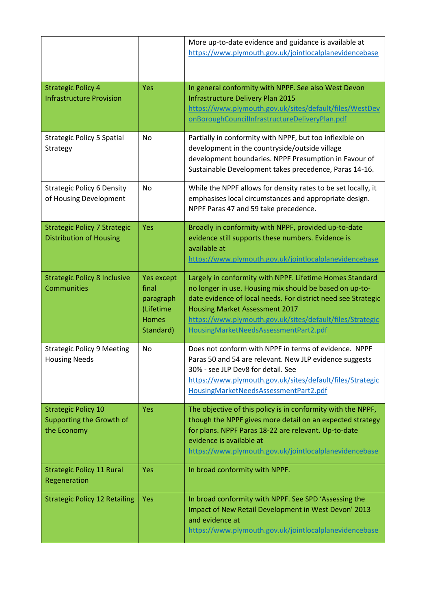|                                                                       |                                                                                   | More up-to-date evidence and guidance is available at<br>https://www.plymouth.gov.uk/jointlocalplanevidencebase                                                                                                                                                                                                                     |
|-----------------------------------------------------------------------|-----------------------------------------------------------------------------------|-------------------------------------------------------------------------------------------------------------------------------------------------------------------------------------------------------------------------------------------------------------------------------------------------------------------------------------|
| <b>Strategic Policy 4</b><br><b>Infrastructure Provision</b>          | Yes                                                                               | In general conformity with NPPF. See also West Devon<br>Infrastructure Delivery Plan 2015<br>https://www.plymouth.gov.uk/sites/default/files/WestDev<br>onBoroughCouncilInfrastructureDeliveryPlan.pdf                                                                                                                              |
| <b>Strategic Policy 5 Spatial</b><br>Strategy                         | No                                                                                | Partially in conformity with NPPF, but too inflexible on<br>development in the countryside/outside village<br>development boundaries. NPPF Presumption in Favour of<br>Sustainable Development takes precedence, Paras 14-16.                                                                                                       |
| <b>Strategic Policy 6 Density</b><br>of Housing Development           | <b>No</b>                                                                         | While the NPPF allows for density rates to be set locally, it<br>emphasises local circumstances and appropriate design.<br>NPPF Paras 47 and 59 take precedence.                                                                                                                                                                    |
| <b>Strategic Policy 7 Strategic</b><br><b>Distribution of Housing</b> | Yes                                                                               | Broadly in conformity with NPPF, provided up-to-date<br>evidence still supports these numbers. Evidence is<br>available at<br>https://www.plymouth.gov.uk/jointlocalplanevidencebase                                                                                                                                                |
| <b>Strategic Policy 8 Inclusive</b><br>Communities                    | <b>Yes except</b><br>final<br>paragraph<br>(Lifetime<br><b>Homes</b><br>Standard) | Largely in conformity with NPPF. Lifetime Homes Standard<br>no longer in use. Housing mix should be based on up-to-<br>date evidence of local needs. For district need see Strategic<br><b>Housing Market Assessment 2017</b><br>https://www.plymouth.gov.uk/sites/default/files/Strategic<br>HousingMarketNeedsAssessmentPart2.pdf |
| <b>Strategic Policy 9 Meeting</b><br><b>Housing Needs</b>             | No                                                                                | Does not conform with NPPF in terms of evidence. NPPF<br>Paras 50 and 54 are relevant. New JLP evidence suggests<br>30% - see JLP Dev8 for detail. See<br>https://www.plymouth.gov.uk/sites/default/files/Strategic<br>HousingMarketNeedsAssessmentPart2.pdf                                                                        |
| <b>Strategic Policy 10</b>                                            | <b>Yes</b>                                                                        | The objective of this policy is in conformity with the NPPF,                                                                                                                                                                                                                                                                        |
| Supporting the Growth of<br>the Economy                               |                                                                                   | though the NPPF gives more detail on an expected strategy<br>for plans. NPPF Paras 18-22 are relevant. Up-to-date<br>evidence is available at<br>https://www.plymouth.gov.uk/jointlocalplanevidencebase                                                                                                                             |
| <b>Strategic Policy 11 Rural</b><br>Regeneration                      | <b>Yes</b>                                                                        | In broad conformity with NPPF.                                                                                                                                                                                                                                                                                                      |
| <b>Strategic Policy 12 Retailing</b>                                  | <b>Yes</b>                                                                        | In broad conformity with NPPF. See SPD 'Assessing the<br>Impact of New Retail Development in West Devon' 2013<br>and evidence at<br>https://www.plymouth.gov.uk/jointlocalplanevidencebase                                                                                                                                          |